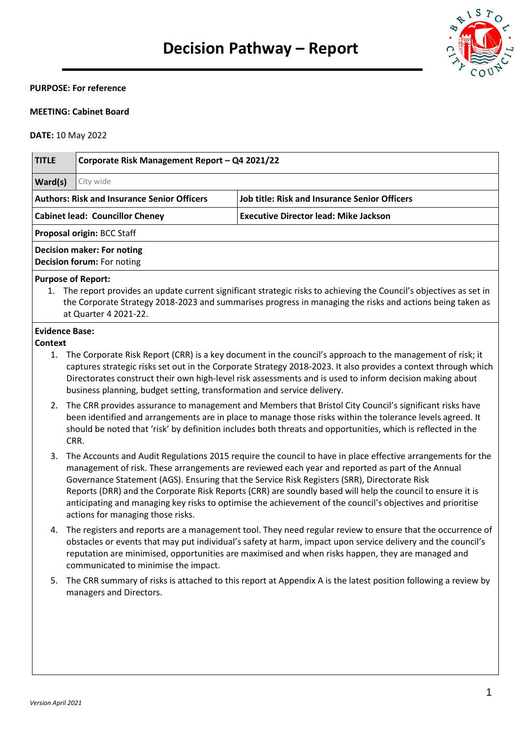

#### **PURPOSE: For reference**

## **MEETING: Cabinet Board**

#### **DATE:** 10 May 2022

| <b>TITLE</b>                                                                                               | Corporate Risk Management Report - Q4 2021/22                                                                                                                                                                                                                                                                                                                                                                                                                                                                                                                                    |                                                                                                                                                                                                                                                                                                                                         |  |  |  |
|------------------------------------------------------------------------------------------------------------|----------------------------------------------------------------------------------------------------------------------------------------------------------------------------------------------------------------------------------------------------------------------------------------------------------------------------------------------------------------------------------------------------------------------------------------------------------------------------------------------------------------------------------------------------------------------------------|-----------------------------------------------------------------------------------------------------------------------------------------------------------------------------------------------------------------------------------------------------------------------------------------------------------------------------------------|--|--|--|
| Ward(s)                                                                                                    | City wide                                                                                                                                                                                                                                                                                                                                                                                                                                                                                                                                                                        |                                                                                                                                                                                                                                                                                                                                         |  |  |  |
| <b>Authors: Risk and Insurance Senior Officers</b><br><b>Job title: Risk and Insurance Senior Officers</b> |                                                                                                                                                                                                                                                                                                                                                                                                                                                                                                                                                                                  |                                                                                                                                                                                                                                                                                                                                         |  |  |  |
| <b>Executive Director lead: Mike Jackson</b><br><b>Cabinet lead: Councillor Cheney</b>                     |                                                                                                                                                                                                                                                                                                                                                                                                                                                                                                                                                                                  |                                                                                                                                                                                                                                                                                                                                         |  |  |  |
|                                                                                                            | Proposal origin: BCC Staff                                                                                                                                                                                                                                                                                                                                                                                                                                                                                                                                                       |                                                                                                                                                                                                                                                                                                                                         |  |  |  |
|                                                                                                            | <b>Decision maker: For noting</b><br>Decision forum: For noting                                                                                                                                                                                                                                                                                                                                                                                                                                                                                                                  |                                                                                                                                                                                                                                                                                                                                         |  |  |  |
|                                                                                                            | <b>Purpose of Report:</b><br>at Quarter 4 2021-22.                                                                                                                                                                                                                                                                                                                                                                                                                                                                                                                               | 1. The report provides an update current significant strategic risks to achieving the Council's objectives as set in<br>the Corporate Strategy 2018-2023 and summarises progress in managing the risks and actions being taken as                                                                                                       |  |  |  |
| <b>Evidence Base:</b>                                                                                      |                                                                                                                                                                                                                                                                                                                                                                                                                                                                                                                                                                                  |                                                                                                                                                                                                                                                                                                                                         |  |  |  |
| <b>Context</b><br>1.                                                                                       | business planning, budget setting, transformation and service delivery.                                                                                                                                                                                                                                                                                                                                                                                                                                                                                                          | The Corporate Risk Report (CRR) is a key document in the council's approach to the management of risk; it<br>captures strategic risks set out in the Corporate Strategy 2018-2023. It also provides a context through which<br>Directorates construct their own high-level risk assessments and is used to inform decision making about |  |  |  |
| 2.                                                                                                         | CRR.                                                                                                                                                                                                                                                                                                                                                                                                                                                                                                                                                                             | The CRR provides assurance to management and Members that Bristol City Council's significant risks have<br>been identified and arrangements are in place to manage those risks within the tolerance levels agreed. It<br>should be noted that 'risk' by definition includes both threats and opportunities, which is reflected in the   |  |  |  |
| 3.                                                                                                         | The Accounts and Audit Regulations 2015 require the council to have in place effective arrangements for the<br>management of risk. These arrangements are reviewed each year and reported as part of the Annual<br>Governance Statement (AGS). Ensuring that the Service Risk Registers (SRR), Directorate Risk<br>Reports (DRR) and the Corporate Risk Reports (CRR) are soundly based will help the council to ensure it is<br>anticipating and managing key risks to optimise the achievement of the council's objectives and prioritise<br>actions for managing those risks. |                                                                                                                                                                                                                                                                                                                                         |  |  |  |
| 4.                                                                                                         | communicated to minimise the impact.                                                                                                                                                                                                                                                                                                                                                                                                                                                                                                                                             | The registers and reports are a management tool. They need regular review to ensure that the occurrence of<br>obstacles or events that may put individual's safety at harm, impact upon service delivery and the council's<br>reputation are minimised, opportunities are maximised and when risks happen, they are managed and         |  |  |  |
| 5.                                                                                                         |                                                                                                                                                                                                                                                                                                                                                                                                                                                                                                                                                                                  | The CRR summary of risks is attached to this report at Appendix A is the latest position following a review by                                                                                                                                                                                                                          |  |  |  |

managers and Directors.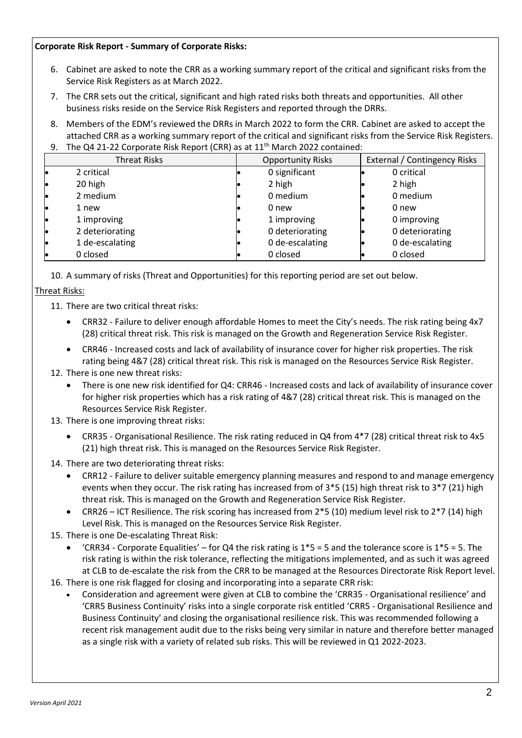#### **Corporate Risk Report - Summary of Corporate Risks:**

- 6. Cabinet are asked to note the CRR as a working summary report of the critical and significant risks from the Service Risk Registers as at March 2022.
- 7. The CRR sets out the critical, significant and high rated risks both threats and opportunities. All other business risks reside on the Service Risk Registers and reported through the DRRs.
- 8. Members of the EDM's reviewed the DRRs in March 2022 to form the CRR. Cabinet are asked to accept the attached CRR as a working summary report of the critical and significant risks from the Service Risk Registers.

| 9. | The Q4 21-22 Corporate Risk Report (CRR) as at 11 <sup>th</sup> March 2022 contained: |                          |                 |                              |                 |  |
|----|---------------------------------------------------------------------------------------|--------------------------|-----------------|------------------------------|-----------------|--|
|    | <b>Threat Risks</b>                                                                   | <b>Opportunity Risks</b> |                 | External / Contingency Risks |                 |  |
|    | 2 critical                                                                            |                          | 0 significant   |                              | 0 critical      |  |
|    | 20 high                                                                               |                          | 2 high          |                              | 2 high          |  |
|    | 2 medium                                                                              |                          | 0 medium        |                              | 0 medium        |  |
|    | 1 new                                                                                 |                          | 0 new           |                              | 0 new           |  |
|    | 1 improving                                                                           |                          | 1 improving     |                              | 0 improving     |  |
|    | 2 deteriorating                                                                       |                          | 0 deteriorating |                              | 0 deteriorating |  |
|    | 1 de-escalating                                                                       |                          | 0 de-escalating |                              | 0 de-escalating |  |
|    | 0 closed                                                                              |                          | 0 closed        |                              | 0 closed        |  |

10. A summary of risks (Threat and Opportunities) for this reporting period are set out below.

# Threat Risks:

11. There are two critical threat risks:

- CRR32 Failure to deliver enough affordable Homes to meet the City's needs. The risk rating being 4x7 (28) critical threat risk. This risk is managed on the Growth and Regeneration Service Risk Register.
- CRR46 Increased costs and lack of availability of insurance cover for higher risk properties. The risk rating being 4&7 (28) critical threat risk. This risk is managed on the Resources Service Risk Register.

## 12. There is one new threat risks:

- There is one new risk identified for Q4: CRR46 Increased costs and lack of availability of insurance cover for higher risk properties which has a risk rating of 4&7 (28) critical threat risk. This is managed on the Resources Service Risk Register.
- 13. There is one improving threat risks:
	- CRR35 Organisational Resilience. The risk rating reduced in Q4 from 4\*7 (28) critical threat risk to 4x5 (21) high threat risk. This is managed on the Resources Service Risk Register.
- 14. There are two deteriorating threat risks:
	- CRR12 Failure to deliver suitable emergency planning measures and respond to and manage emergency events when they occur. The risk rating has increased from of 3\*5 (15) high threat risk to 3\*7 (21) high threat risk. This is managed on the Growth and Regeneration Service Risk Register.
	- CRR26 ICT Resilience. The risk scoring has increased from 2\*5 (10) medium level risk to 2\*7 (14) high Level Risk. This is managed on the Resources Service Risk Register.
- 15. There is one De-escalating Threat Risk:
	- 'CRR34 Corporate Equalities' for Q4 the risk rating is  $1*5 = 5$  and the tolerance score is  $1*5 = 5$ . The risk rating is within the risk tolerance, reflecting the mitigations implemented, and as such it was agreed at CLB to de-escalate the risk from the CRR to be managed at the Resources Directorate Risk Report level.
- 16. There is one risk flagged for closing and incorporating into a separate CRR risk:
	- Consideration and agreement were given at CLB to combine the 'CRR35 Organisational resilience' and 'CRR5 Business Continuity' risks into a single corporate risk entitled 'CRR5 - Organisational Resilience and Business Continuity' and closing the organisational resilience risk. This was recommended following a recent risk management audit due to the risks being very similar in nature and therefore better managed as a single risk with a variety of related sub risks. This will be reviewed in Q1 2022-2023.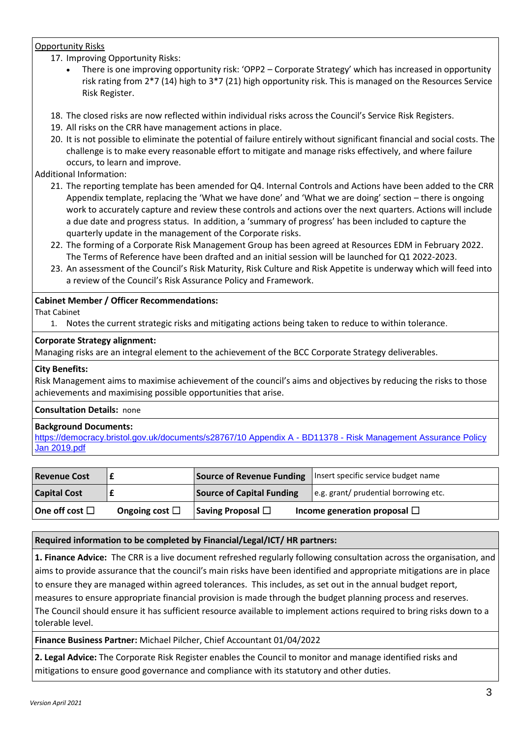## Opportunity Risks

17. Improving Opportunity Risks:

- There is one improving opportunity risk: 'OPP2 Corporate Strategy' which has increased in opportunity risk rating from 2\*7 (14) high to 3\*7 (21) high opportunity risk. This is managed on the Resources Service Risk Register.
- 18. The closed risks are now reflected within individual risks across the Council's Service Risk Registers.
- 19. All risks on the CRR have management actions in place.
- 20. It is not possible to eliminate the potential of failure entirely without significant financial and social costs. The challenge is to make every reasonable effort to mitigate and manage risks effectively, and where failure occurs, to learn and improve.

Additional Information:

- 21. The reporting template has been amended for Q4. Internal Controls and Actions have been added to the CRR Appendix template, replacing the 'What we have done' and 'What we are doing' section – there is ongoing work to accurately capture and review these controls and actions over the next quarters. Actions will include a due date and progress status. In addition, a 'summary of progress' has been included to capture the quarterly update in the management of the Corporate risks.
- 22. The forming of a Corporate Risk Management Group has been agreed at Resources EDM in February 2022. The Terms of Reference have been drafted and an initial session will be launched for Q1 2022-2023.
- 23. An assessment of the Council's Risk Maturity, Risk Culture and Risk Appetite is underway which will feed into a review of the Council's Risk Assurance Policy and Framework.

## **Cabinet Member / Officer Recommendations:**

That Cabinet

1. Notes the current strategic risks and mitigating actions being taken to reduce to within tolerance.

#### **Corporate Strategy alignment:**

Managing risks are an integral element to the achievement of the BCC Corporate Strategy deliverables.

## **City Benefits:**

Risk Management aims to maximise achievement of the council's aims and objectives by reducing the risks to those achievements and maximising possible opportunities that arise.

#### **Consultation Details:** none

#### **Background Documents:**

[https://democracy.bristol.gov.uk/documents/s28767/10 Appendix A -](https://democracy.bristol.gov.uk/documents/s28767/10%20Appendix%20A%20-%20BD11378%20-%20Risk%20Management%20Assurance%20Policy%20Jan%202019.pdf) BD11378 - Risk Management Assurance Policy [Jan 2019.pdf](https://democracy.bristol.gov.uk/documents/s28767/10%20Appendix%20A%20-%20BD11378%20-%20Risk%20Management%20Assurance%20Policy%20Jan%202019.pdf)

| <b>Revenue Cost</b>    |                     | <b>Source of Revenue Funding</b> | Insert specific service budget name   |
|------------------------|---------------------|----------------------------------|---------------------------------------|
| <b>Capital Cost</b>    |                     | <b>Source of Capital Funding</b> | e.g. grant/ prudential borrowing etc. |
| One off cost $\square$ | Ongoing cost $\Box$ | Saving Proposal $\Box$           | Income generation proposal $\Box$     |

## **Required information to be completed by Financial/Legal/ICT/ HR partners:**

**1. Finance Advice:** The CRR is a live document refreshed regularly following consultation across the organisation, and aims to provide assurance that the council's main risks have been identified and appropriate mitigations are in place to ensure they are managed within agreed tolerances. This includes, as set out in the annual budget report, measures to ensure appropriate financial provision is made through the budget planning process and reserves. The Council should ensure it has sufficient resource available to implement actions required to bring risks down to a tolerable level.

**Finance Business Partner:** Michael Pilcher, Chief Accountant 01/04/2022

**2. Legal Advice:** The Corporate Risk Register enables the Council to monitor and manage identified risks and mitigations to ensure good governance and compliance with its statutory and other duties.